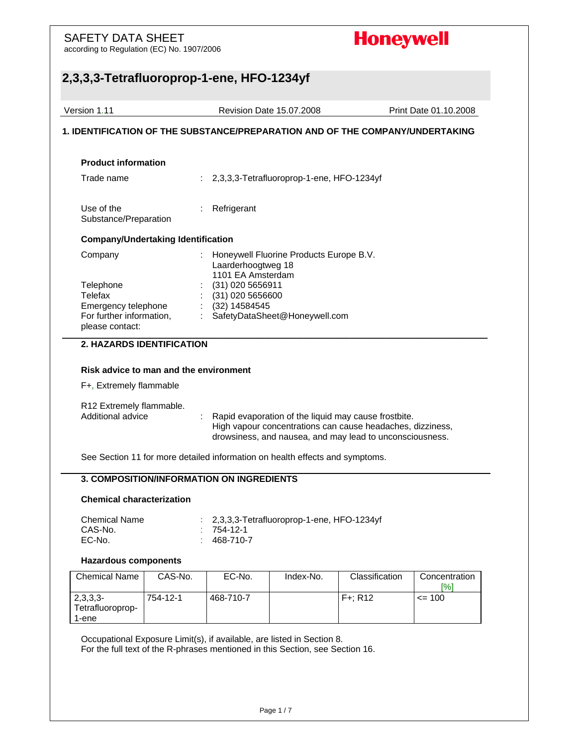according to Regulation (EC) No. 1907/2006

## **Honeywell**

### **2,3,3,3-Tetrafluoroprop-1-ene, HFO-1234yf**  Version 1.11 Revision Date 15.07.2008 Print Date 01.10.2008 **1. IDENTIFICATION OF THE SUBSTANCE/PREPARATION AND OF THE COMPANY/UNDERTAKING Product information** Trade name : 2,3,3,3-Tetrafluoroprop-1-ene, HFO-1234yf Use of the Substance/Preparation : Refrigerant **Company/Undertaking Identification** Company : Honeywell Fluorine Products Europe B.V. Laarderhoogtweg 18 1101 EA Amsterdam Telephone : (31) 020 5656911 Telefax : (31) 020 5656600 Emergency telephone : (32) 14584545 For further information, please contact: : SafetyDataSheet@Honeywell.com  $\_$  ,  $\_$  ,  $\_$  ,  $\_$  ,  $\_$  ,  $\_$  ,  $\_$  ,  $\_$  ,  $\_$  ,  $\_$  ,  $\_$  ,  $\_$  ,  $\_$  ,  $\_$  ,  $\_$  ,  $\_$  ,  $\_$  ,  $\_$  ,  $\_$  ,  $\_$  ,  $\_$  ,  $\_$  ,  $\_$  ,  $\_$  ,  $\_$  ,  $\_$  ,  $\_$  ,  $\_$  ,  $\_$  ,  $\_$  ,  $\_$  ,  $\_$  ,  $\_$  ,  $\_$  ,  $\_$  ,  $\_$  ,  $\_$  , **2. HAZARDS IDENTIFICATION Risk advice to man and the environment**  F+, Extremely flammable R12 Extremely flammable. Additional advice : Rapid evaporation of the liquid may cause frostbite. High vapour concentrations can cause headaches, dizziness, drowsiness, and nausea, and may lead to unconsciousness. See Section 11 for more detailed information on health effects and symptoms. **3. COMPOSITION/INFORMATION ON INGREDIENTS Chemical characterization** Chemical Name : 2,3,3,3-Tetrafluoroprop-1-ene, HFO-1234yf CAS-No. : 754-12-1 EC-No. : 468-710-7 **Hazardous components**  Chemical Name | CAS-No. | EC-No. | Index-No. | Classification | Concentration [%] 2,3,3,3- Tetrafluoroprop-1-ene 754-12-1 468-710-7 F+; R12 <= 100 Occupational Exposure Limit(s), if available, are listed in Section 8.

For the full text of the R-phrases mentioned in this Section, see Section 16.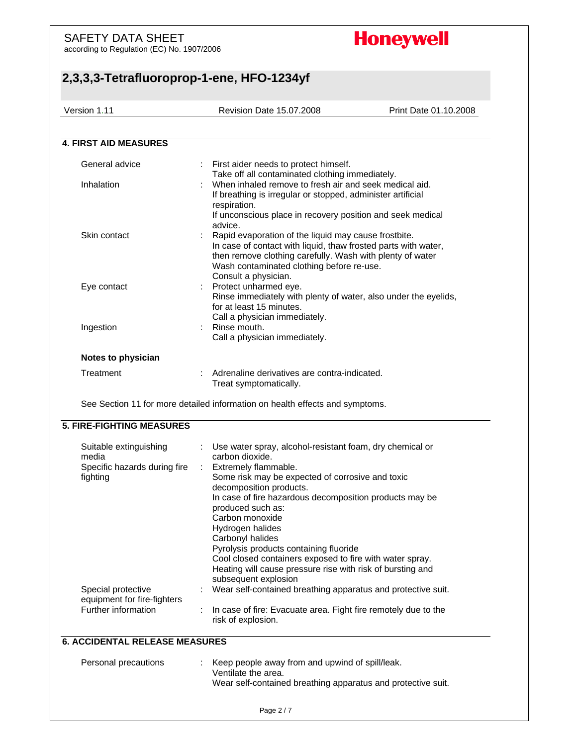according to Regulation (EC) No. 1907/2006

# **Honeywell**

| First aider needs to protect himself.<br>Take off all contaminated clothing immediately.<br>When inhaled remove to fresh air and seek medical aid.<br>If breathing is irregular or stopped, administer artificial<br>respiration.<br>If unconscious place in recovery position and seek medical<br>advice.<br>Rapid evaporation of the liquid may cause frostbite.<br>In case of contact with liquid, thaw frosted parts with water,<br>then remove clothing carefully. Wash with plenty of water<br>Wash contaminated clothing before re-use.<br>Consult a physician.<br>Protect unharmed eye.<br>Rinse immediately with plenty of water, also under the eyelids,<br>for at least 15 minutes.<br>Call a physician immediately.<br>: Rinse mouth.<br>Call a physician immediately.<br>Adrenaline derivatives are contra-indicated.<br>Treat symptomatically.<br>See Section 11 for more detailed information on health effects and symptoms. |                      |
|----------------------------------------------------------------------------------------------------------------------------------------------------------------------------------------------------------------------------------------------------------------------------------------------------------------------------------------------------------------------------------------------------------------------------------------------------------------------------------------------------------------------------------------------------------------------------------------------------------------------------------------------------------------------------------------------------------------------------------------------------------------------------------------------------------------------------------------------------------------------------------------------------------------------------------------------|----------------------|
|                                                                                                                                                                                                                                                                                                                                                                                                                                                                                                                                                                                                                                                                                                                                                                                                                                                                                                                                              |                      |
|                                                                                                                                                                                                                                                                                                                                                                                                                                                                                                                                                                                                                                                                                                                                                                                                                                                                                                                                              |                      |
|                                                                                                                                                                                                                                                                                                                                                                                                                                                                                                                                                                                                                                                                                                                                                                                                                                                                                                                                              |                      |
|                                                                                                                                                                                                                                                                                                                                                                                                                                                                                                                                                                                                                                                                                                                                                                                                                                                                                                                                              |                      |
|                                                                                                                                                                                                                                                                                                                                                                                                                                                                                                                                                                                                                                                                                                                                                                                                                                                                                                                                              |                      |
|                                                                                                                                                                                                                                                                                                                                                                                                                                                                                                                                                                                                                                                                                                                                                                                                                                                                                                                                              |                      |
|                                                                                                                                                                                                                                                                                                                                                                                                                                                                                                                                                                                                                                                                                                                                                                                                                                                                                                                                              |                      |
|                                                                                                                                                                                                                                                                                                                                                                                                                                                                                                                                                                                                                                                                                                                                                                                                                                                                                                                                              |                      |
| carbon dioxide.<br>Extremely flammable.<br>t.<br>Some risk may be expected of corrosive and toxic<br>decomposition products.<br>In case of fire hazardous decomposition products may be<br>produced such as:<br>Carbon monoxide<br>Hydrogen halides<br>Carbonyl halides<br>Pyrolysis products containing fluoride<br>Cool closed containers exposed to fire with water spray.<br>Heating will cause pressure rise with risk of bursting and                                                                                                                                                                                                                                                                                                                                                                                                                                                                                                  |                      |
| Wear self-contained breathing apparatus and protective suit.<br>In case of fire: Evacuate area. Fight fire remotely due to the<br>risk of explosion.                                                                                                                                                                                                                                                                                                                                                                                                                                                                                                                                                                                                                                                                                                                                                                                         |                      |
| <b>6. ACCIDENTAL RELEASE MEASURES</b>                                                                                                                                                                                                                                                                                                                                                                                                                                                                                                                                                                                                                                                                                                                                                                                                                                                                                                        |                      |
| Keep people away from and upwind of spill/leak.<br>Ventilate the area.<br>Wear self-contained breathing apparatus and protective suit.                                                                                                                                                                                                                                                                                                                                                                                                                                                                                                                                                                                                                                                                                                                                                                                                       |                      |
|                                                                                                                                                                                                                                                                                                                                                                                                                                                                                                                                                                                                                                                                                                                                                                                                                                                                                                                                              | subsequent explosion |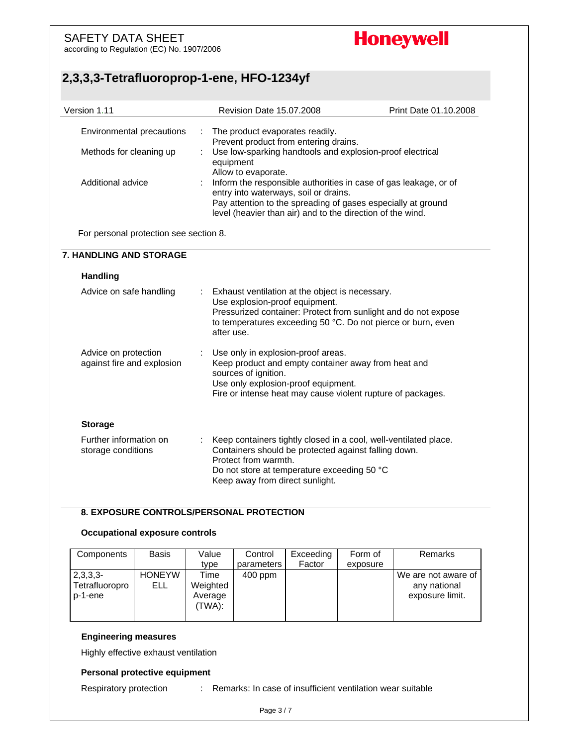according to Regulation (EC) No. 1907/2006

# **Honeywell**

### **2,3,3,3-Tetrafluoroprop-1-ene, HFO-1234yf**

| Version 1.11                                         | Revision Date 15.07.2008                                                                                                                                                                                                                                       | Print Date 01.10.2008 |
|------------------------------------------------------|----------------------------------------------------------------------------------------------------------------------------------------------------------------------------------------------------------------------------------------------------------------|-----------------------|
| Environmental precautions<br>Methods for cleaning up | The product evaporates readily.<br>Prevent product from entering drains.<br>Use low-sparking handtools and explosion-proof electrical<br>equipment                                                                                                             |                       |
| Additional advice                                    | Allow to evaporate.<br>Inform the responsible authorities in case of gas leakage, or of<br>entry into waterways, soil or drains.<br>Pay attention to the spreading of gases especially at ground<br>level (heavier than air) and to the direction of the wind. |                       |
| For personal protection see section 8.               |                                                                                                                                                                                                                                                                |                       |
| <b>7. HANDLING AND STORAGE</b>                       |                                                                                                                                                                                                                                                                |                       |
| Handling                                             |                                                                                                                                                                                                                                                                |                       |
| Advice on safe handling                              | Exhaust ventilation at the object is necessary.<br>Use explosion-proof equipment.<br>Pressurized container: Protect from sunlight and do not expose<br>to temperatures exceeding 50 °C. Do not pierce or burn, even<br>after use.                              |                       |
| Advice on protection<br>against fire and explosion   | Use only in explosion-proof areas.<br>Keep product and empty container away from heat and<br>sources of ignition.<br>Use only explosion-proof equipment.<br>Fire or intense heat may cause violent rupture of packages.                                        |                       |
| <b>Storage</b>                                       |                                                                                                                                                                                                                                                                |                       |
| Further information on<br>storage conditions         | Keep containers tightly closed in a cool, well-ventilated place.<br>Containers should be protected against falling down.<br>Protect from warmth.<br>Do not store at temperature exceeding 50 °C<br>Keep away from direct sunlight.                             |                       |

#### **8. EXPOSURE CONTROLS/PERSONAL PROTECTION**

#### **Occupational exposure controls**

| Components                              | Basis                | Value                                 | Control    | Exceeding | Form of  | Remarks                                                |
|-----------------------------------------|----------------------|---------------------------------------|------------|-----------|----------|--------------------------------------------------------|
|                                         |                      | type                                  | parameters | Factor    | exposure |                                                        |
| $2,3,3,3-$<br>Tetrafluoropro<br>p-1-ene | <b>HONEYW</b><br>ELL | Time<br>Weighted<br>Average<br>(TWA): | $400$ ppm  |           |          | We are not aware of<br>any national<br>exposure limit. |

#### **Engineering measures**

Highly effective exhaust ventilation

#### **Personal protective equipment**

Respiratory protection : Remarks: In case of insufficient ventilation wear suitable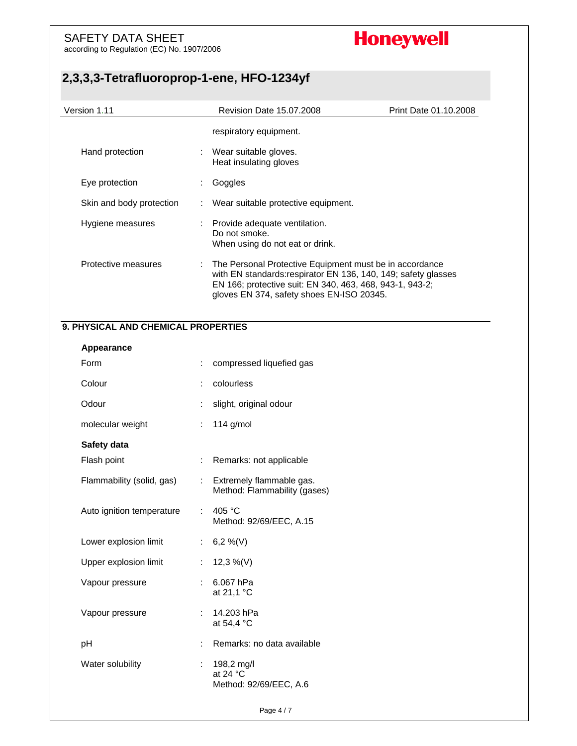according to Regulation (EC) No. 1907/2006

# **Honeywell**

| Version 1.11                        |                               | Revision Date 15.07.2008                                                                                                                                                                                                           | Print Date 01.10.2008 |
|-------------------------------------|-------------------------------|------------------------------------------------------------------------------------------------------------------------------------------------------------------------------------------------------------------------------------|-----------------------|
|                                     |                               | respiratory equipment.                                                                                                                                                                                                             |                       |
| Hand protection                     |                               | Wear suitable gloves.<br>Heat insulating gloves                                                                                                                                                                                    |                       |
| Eye protection                      |                               | Goggles                                                                                                                                                                                                                            |                       |
| Skin and body protection            |                               | Wear suitable protective equipment.                                                                                                                                                                                                |                       |
| Hygiene measures                    |                               | Provide adequate ventilation.<br>Do not smoke.<br>When using do not eat or drink.                                                                                                                                                  |                       |
| Protective measures                 |                               | The Personal Protective Equipment must be in accordance<br>with EN standards: respirator EN 136, 140, 149; safety glasses<br>EN 166; protective suit: EN 340, 463, 468, 943-1, 943-2;<br>gloves EN 374, safety shoes EN-ISO 20345. |                       |
| 9. PHYSICAL AND CHEMICAL PROPERTIES |                               |                                                                                                                                                                                                                                    |                       |
| Appearance                          |                               |                                                                                                                                                                                                                                    |                       |
| Form                                |                               | compressed liquefied gas                                                                                                                                                                                                           |                       |
| Colour                              |                               | colourless                                                                                                                                                                                                                         |                       |
| Odour                               |                               | slight, original odour                                                                                                                                                                                                             |                       |
| molecular weight                    |                               | 114 $g/mol$                                                                                                                                                                                                                        |                       |
| Safety data                         |                               |                                                                                                                                                                                                                                    |                       |
| Flash point                         |                               | Remarks: not applicable                                                                                                                                                                                                            |                       |
| Flammability (solid, gas)           |                               | Extremely flammable gas.<br>Method: Flammability (gases)                                                                                                                                                                           |                       |
| Auto ignition temperature           |                               | 405 °C<br>Method: 92/69/EEC, A.15                                                                                                                                                                                                  |                       |
| Lower explosion limit               | t.                            | 6,2 %(V)                                                                                                                                                                                                                           |                       |
| Upper explosion limit               | $\mathcal{I}^{\mathcal{I}}$ . | 12,3 %(V)                                                                                                                                                                                                                          |                       |
| Vapour pressure                     |                               | : 6.067 hPa<br>at 21,1 °C                                                                                                                                                                                                          |                       |
| Vapour pressure                     | $\mathbb{R}^{\mathbb{Z}}$     | 14.203 hPa<br>at 54,4 °C                                                                                                                                                                                                           |                       |
| pH                                  |                               | Remarks: no data available                                                                                                                                                                                                         |                       |
| Water solubility                    | t.                            | 198,2 mg/l                                                                                                                                                                                                                         |                       |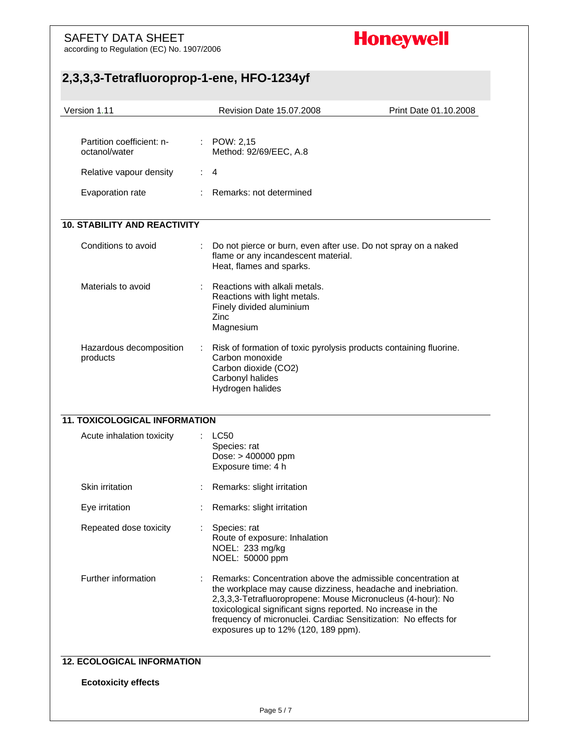according to Regulation (EC) No. 1907/2006

# **Honeywell**

| Version 1.11                               | Revision Date 15.07.2008                                                                                       | Print Date 01.10.2008                                                                                                                                                                                                                                          |
|--------------------------------------------|----------------------------------------------------------------------------------------------------------------|----------------------------------------------------------------------------------------------------------------------------------------------------------------------------------------------------------------------------------------------------------------|
| Partition coefficient: n-<br>octanol/water | : POW: 2,15<br>Method: 92/69/EEC, A.8                                                                          |                                                                                                                                                                                                                                                                |
| Relative vapour density                    | $\mathcal{I}^{\mathcal{I}}$ .<br>4                                                                             |                                                                                                                                                                                                                                                                |
| Evaporation rate                           | Remarks: not determined                                                                                        |                                                                                                                                                                                                                                                                |
| <b>10. STABILITY AND REACTIVITY</b>        |                                                                                                                |                                                                                                                                                                                                                                                                |
| Conditions to avoid                        | flame or any incandescent material.<br>Heat, flames and sparks.                                                | Do not pierce or burn, even after use. Do not spray on a naked                                                                                                                                                                                                 |
| Materials to avoid                         | Reactions with alkali metals.<br>Reactions with light metals.<br>Finely divided aluminium<br>Zinc<br>Magnesium |                                                                                                                                                                                                                                                                |
| Hazardous decomposition                    | ÷                                                                                                              | Risk of formation of toxic pyrolysis products containing fluorine.                                                                                                                                                                                             |
| products                                   | Carbon monoxide<br>Carbon dioxide (CO2)<br>Carbonyl halides<br>Hydrogen halides                                |                                                                                                                                                                                                                                                                |
| <b>11. TOXICOLOGICAL INFORMATION</b>       |                                                                                                                |                                                                                                                                                                                                                                                                |
| Acute inhalation toxicity                  | <b>LC50</b><br>Species: rat<br>Dose: > 400000 ppm<br>Exposure time: 4 h                                        |                                                                                                                                                                                                                                                                |
| Skin irritation                            | Remarks: slight irritation                                                                                     |                                                                                                                                                                                                                                                                |
| Eye irritation                             | Remarks: slight irritation                                                                                     |                                                                                                                                                                                                                                                                |
| Repeated dose toxicity                     | Species: rat<br>Route of exposure: Inhalation<br>NOEL: 233 mg/kg<br>NOEL: 50000 ppm                            |                                                                                                                                                                                                                                                                |
| Further information                        | toxicological significant signs reported. No increase in the<br>exposures up to 12% (120, 189 ppm).            | Remarks: Concentration above the admissible concentration at<br>the workplace may cause dizziness, headache and inebriation.<br>2,3,3,3-Tetrafluoropropene: Mouse Micronucleus (4-hour): No<br>frequency of micronuclei. Cardiac Sensitization: No effects for |
| <b>12. ECOLOGICAL INFORMATION</b>          |                                                                                                                |                                                                                                                                                                                                                                                                |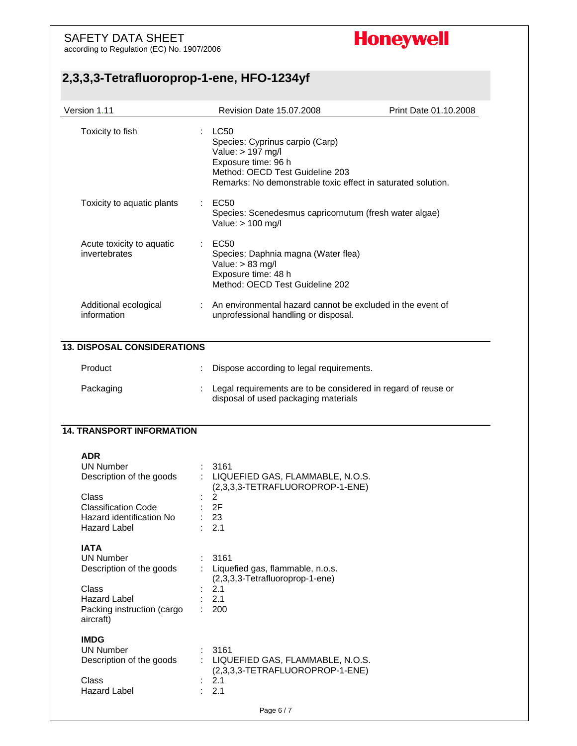according to Regulation (EC) No. 1907/2006

# **Honeywell**

| Version 1.11                                                                  | Revision Date 15.07.2008<br>Print Date 01.10.2008                                                                                                                                                   |
|-------------------------------------------------------------------------------|-----------------------------------------------------------------------------------------------------------------------------------------------------------------------------------------------------|
| Toxicity to fish                                                              | $\therefore$ LC50<br>Species: Cyprinus carpio (Carp)<br>Value: > 197 mg/l<br>Exposure time: 96 h<br>Method: OECD Test Guideline 203<br>Remarks: No demonstrable toxic effect in saturated solution. |
| Toxicity to aquatic plants                                                    | $\therefore$ EC50<br>Species: Scenedesmus capricornutum (fresh water algae)<br>Value: > 100 mg/l                                                                                                    |
| Acute toxicity to aquatic<br>invertebrates                                    | <b>EC50</b><br>Species: Daphnia magna (Water flea)<br>Value: $> 83$ mg/l<br>Exposure time: 48 h<br>Method: OECD Test Guideline 202                                                                  |
| Additional ecological<br>information                                          | : An environmental hazard cannot be excluded in the event of<br>unprofessional handling or disposal.                                                                                                |
| <b>13. DISPOSAL CONSIDERATIONS</b>                                            |                                                                                                                                                                                                     |
| Product                                                                       | Dispose according to legal requirements.                                                                                                                                                            |
| Packaging                                                                     | Legal requirements are to be considered in regard of reuse or<br>disposal of used packaging materials                                                                                               |
| <b>14. TRANSPORT INFORMATION</b>                                              |                                                                                                                                                                                                     |
| <b>ADR</b><br><b>UN Number</b><br>Description of the goods<br>Class           | 3161<br>: LIQUEFIED GAS, FLAMMABLE, N.O.S.<br>(2,3,3,3-TETRAFLUOROPROP-1-ENE)<br>2                                                                                                                  |
| <b>Classification Code</b><br>Hazard identification No<br><b>Hazard Label</b> | 2F<br>23<br>2.1                                                                                                                                                                                     |
| <b>IATA</b><br><b>UN Number</b><br>Description of the goods<br>Class          | 3161<br>Liquefied gas, flammable, n.o.s.<br>(2,3,3,3-Tetrafluoroprop-1-ene)<br>2.1                                                                                                                  |
| <b>Hazard Label</b><br>Packing instruction (cargo<br>aircraft)                | 2.1<br>200                                                                                                                                                                                          |
| <b>IMDG</b><br><b>UN Number</b><br>Description of the goods<br>Class          | 3161<br>: LIQUEFIED GAS, FLAMMABLE, N.O.S.<br>(2,3,3,3-TETRAFLUOROPROP-1-ENE)<br>2.1                                                                                                                |
| <b>Hazard Label</b>                                                           | 2.1                                                                                                                                                                                                 |
|                                                                               | Page 6 / 7                                                                                                                                                                                          |